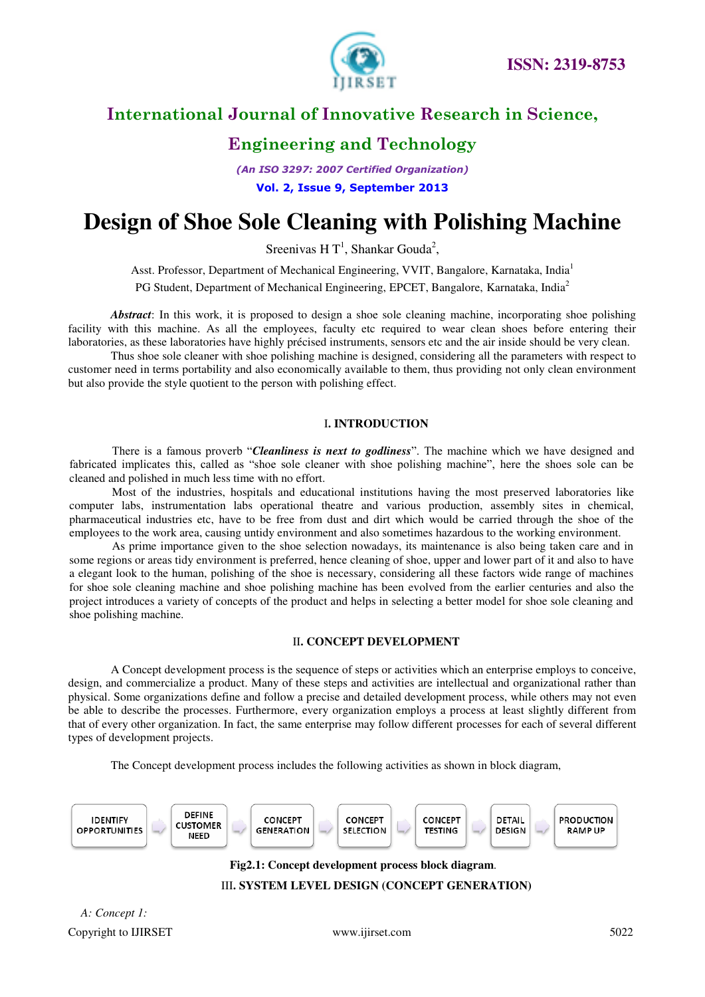

# **Engineering and Technology**

*(An ISO 3297: 2007 Certified Organization)*  **Vol. 2, Issue 9, September 2013**

# **Design of Shoe Sole Cleaning with Polishing Machine**

Sreenivas H T<sup>1</sup>, Shankar Gouda<sup>2</sup>,

Asst. Professor, Department of Mechanical Engineering, VVIT, Bangalore, Karnataka, India<sup>1</sup>

PG Student, Department of Mechanical Engineering, EPCET, Bangalore, Karnataka, India<sup>2</sup>

*Abstract*: In this work, it is proposed to design a shoe sole cleaning machine, incorporating shoe polishing facility with this machine. As all the employees, faculty etc required to wear clean shoes before entering their laboratories, as these laboratories have highly précised instruments, sensors etc and the air inside should be very clean.

Thus shoe sole cleaner with shoe polishing machine is designed, considering all the parameters with respect to customer need in terms portability and also economically available to them, thus providing not only clean environment but also provide the style quotient to the person with polishing effect.

### I**. INTRODUCTION**

There is a famous proverb "*Cleanliness is next to godliness*". The machine which we have designed and fabricated implicates this, called as "shoe sole cleaner with shoe polishing machine", here the shoes sole can be cleaned and polished in much less time with no effort.

Most of the industries, hospitals and educational institutions having the most preserved laboratories like computer labs, instrumentation labs operational theatre and various production, assembly sites in chemical, pharmaceutical industries etc, have to be free from dust and dirt which would be carried through the shoe of the employees to the work area, causing untidy environment and also sometimes hazardous to the working environment.

As prime importance given to the shoe selection nowadays, its maintenance is also being taken care and in some regions or areas tidy environment is preferred, hence cleaning of shoe, upper and lower part of it and also to have a elegant look to the human, polishing of the shoe is necessary, considering all these factors wide range of machines for shoe sole cleaning machine and shoe polishing machine has been evolved from the earlier centuries and also the project introduces a variety of concepts of the product and helps in selecting a better model for shoe sole cleaning and shoe polishing machine.

#### II**. CONCEPT DEVELOPMENT**

A Concept development process is the sequence of steps or activities which an enterprise employs to conceive, design, and commercialize a product. Many of these steps and activities are intellectual and organizational rather than physical. Some organizations define and follow a precise and detailed development process, while others may not even be able to describe the processes. Furthermore, every organization employs a process at least slightly different from that of every other organization. In fact, the same enterprise may follow different processes for each of several different types of development projects.

The Concept development process includes the following activities as shown in block diagram,



**Fig2.1: Concept development process block diagram***.* 

III**. SYSTEM LEVEL DESIGN (CONCEPT GENERATION)**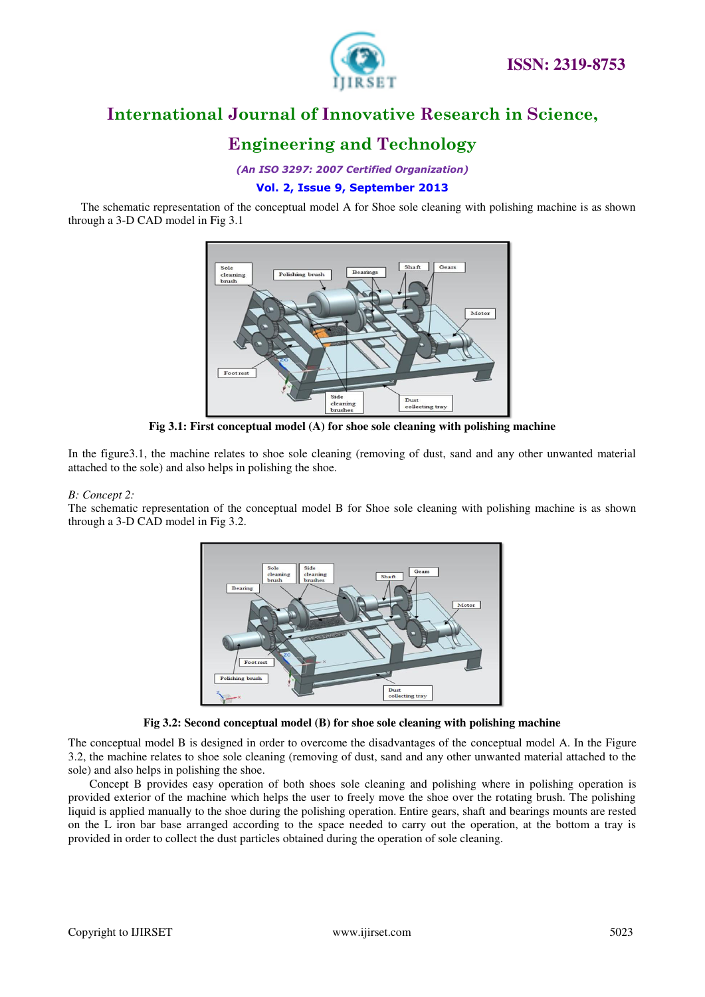

# **Engineering and Technology**

*(An ISO 3297: 2007 Certified Organization)* 

### **Vol. 2, Issue 9, September 2013**

The schematic representation of the conceptual model A for Shoe sole cleaning with polishing machine is as shown through a 3-D CAD model in Fig 3.1



**Fig 3.1: First conceptual model (A) for shoe sole cleaning with polishing machine** 

In the figure3.1, the machine relates to shoe sole cleaning (removing of dust, sand and any other unwanted material attached to the sole) and also helps in polishing the shoe.

#### *B: Concept 2:*

The schematic representation of the conceptual model B for Shoe sole cleaning with polishing machine is as shown through a 3-D CAD model in Fig 3.2.





The conceptual model B is designed in order to overcome the disadvantages of the conceptual model A. In the Figure 3.2, the machine relates to shoe sole cleaning (removing of dust, sand and any other unwanted material attached to the sole) and also helps in polishing the shoe.

Concept B provides easy operation of both shoes sole cleaning and polishing where in polishing operation is provided exterior of the machine which helps the user to freely move the shoe over the rotating brush. The polishing liquid is applied manually to the shoe during the polishing operation. Entire gears, shaft and bearings mounts are rested on the L iron bar base arranged according to the space needed to carry out the operation, at the bottom a tray is provided in order to collect the dust particles obtained during the operation of sole cleaning.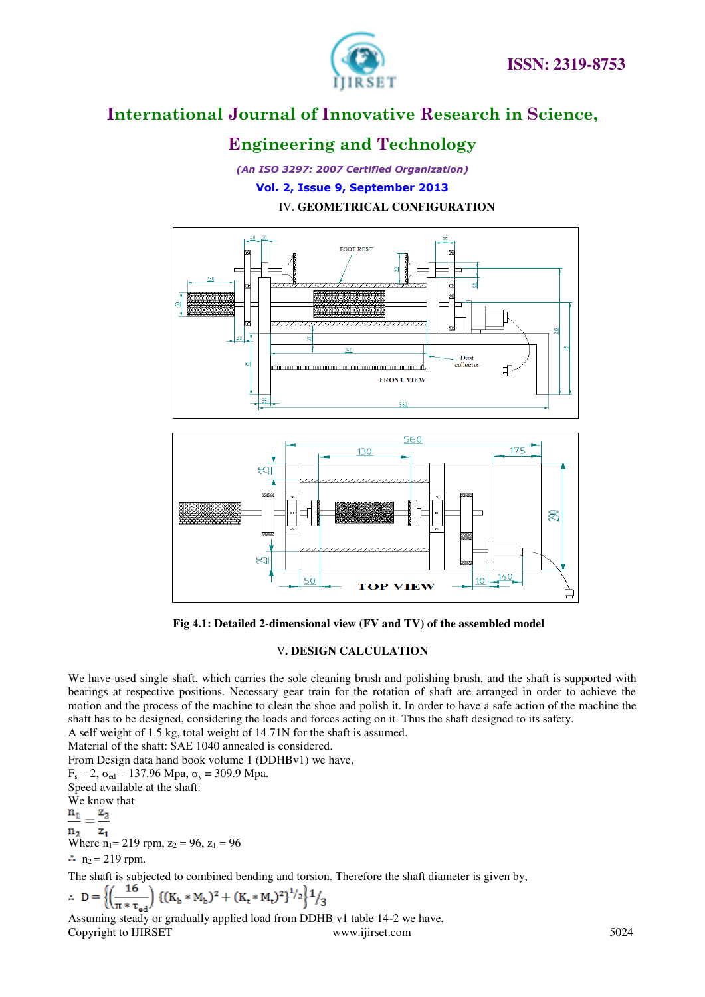

### **Engineering and Technology**

*(An ISO 3297: 2007 Certified Organization)*  **Vol. 2, Issue 9, September 2013** IV. **GEOMETRICAL CONFIGURATION** 



**Fig 4.1: Detailed 2-dimensional view (FV and TV) of the assembled model** 

### V**. DESIGN CALCULATION**

We have used single shaft, which carries the sole cleaning brush and polishing brush, and the shaft is supported with bearings at respective positions. Necessary gear train for the rotation of shaft are arranged in order to achieve the motion and the process of the machine to clean the shoe and polish it. In order to have a safe action of the machine the shaft has to be designed, considering the loads and forces acting on it. Thus the shaft designed to its safety.

A self weight of 1.5 kg, total weight of 14.71N for the shaft is assumed.

Material of the shaft: SAE 1040 annealed is considered.

From Design data hand book volume 1 (DDHBv1) we have,

 $F_s = 2$ ,  $\sigma_{ed} = 137.96$  Mpa,  $\sigma_v = 309.9$  Mpa.

Speed available at the shaft:

We know that

 $\frac{n_1}{n_1} = \frac{z_2}{z_1}$  $n<sub>2</sub>$  $Z_1$ 

Where  $n_1 = 219$  rpm,  $z_2 = 96$ ,  $z_1 = 96$ 

 $\therefore$  n<sub>2</sub> = 219 rpm.

The shaft is subjected to combined bending and torsion. Therefore the shaft diameter is given by,

$$
\therefore \ D = \left\{ \left( \frac{16}{\pi * \tau_{\text{ed}}} \right) \left\{ (K_b * M_b)^2 + (K_t * M_t)^2 \right\}^{1/2} \right\}^{1/2}.
$$

Copyright to IJIRSET www.ijirset.com 5024 Assuming steady or gradually applied load from DDHB v1 table 14-2 we have,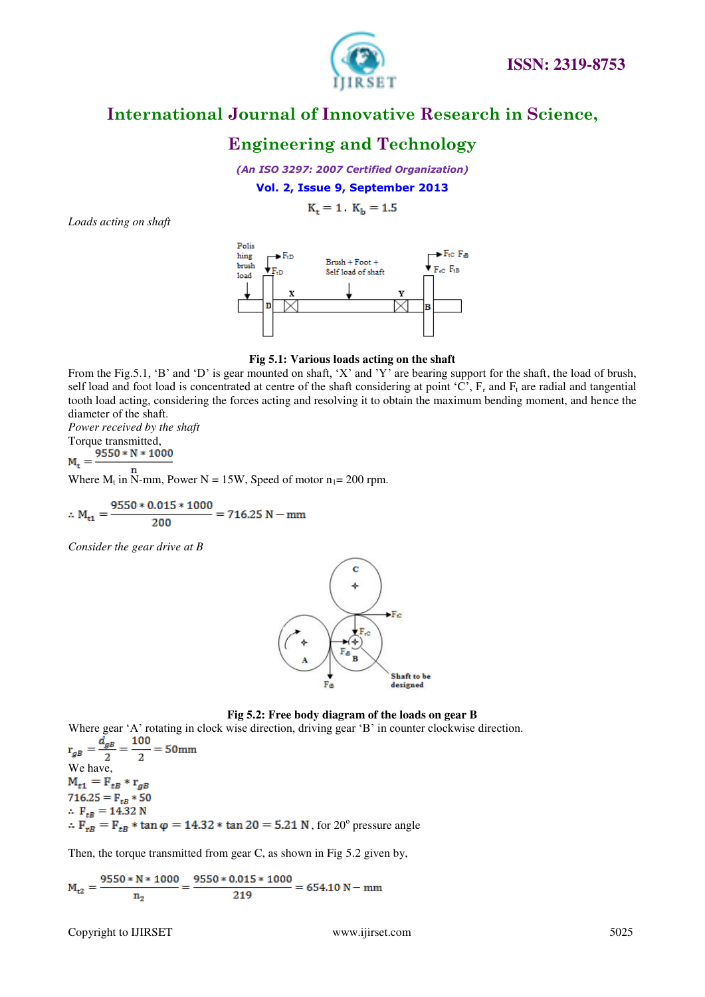



### **Engineering and Technology**

*(An ISO 3297: 2007 Certified Organization)* 

### **Vol. 2, Issue 9, September 2013**

 $K_t = 1$ ,  $K_b = 1.5$ 

*Loads acting on shaft* 



#### **Fig 5.1: Various loads acting on the shaft**

From the Fig.5.1, 'B' and 'D' is gear mounted on shaft, 'X' and 'Y' are bearing support for the shaft, the load of brush, self load and foot load is concentrated at centre of the shaft considering at point  $\mathcal{C}$ ,  $F_r$  and  $F_t$  are radial and tangential tooth load acting, considering the forces acting and resolving it to obtain the maximum bending moment, and hence the diameter of the shaft.

*Power received by the shaft*  Torque transmitted,<br> $M_{+} = \frac{9550*N*1000}{1000}$ 

Where  $M_t$  in N-mm, Power N = 15W, Speed of motor  $n_1 = 200$  rpm.

$$
\therefore M_{t1} = \frac{9550 * 0.015 * 1000}{200} = 716.25 \text{ N} - \text{mm}
$$

*Consider the gear drive at B* 



#### **Fig 5.2: Free body diagram of the loads on gear B**

Where gear 'A' rotating in clock wise direction, driving gear 'B' in counter clockwise direction.<br> $r_{gB} = \frac{d_{gB}}{2} = \frac{100}{2} = 50$ mm We have,<br>  $M_{t1} = F_{tB} * r_{gB}$ <br>
716.25 =  $F_{tB} * 50$  $E_{LB} = 14.32 \text{ N}$ , for 20° pressure angle

Then, the torque transmitted from gear C, as shown in Fig 5.2 given by,

$$
M_{t2} = \frac{9550 \times N \times 1000}{n_2} = \frac{9550 \times 0.015 \times 1000}{219} = 654.10 N - mm
$$

Copyright to IJIRSET www.ijirset.com 5025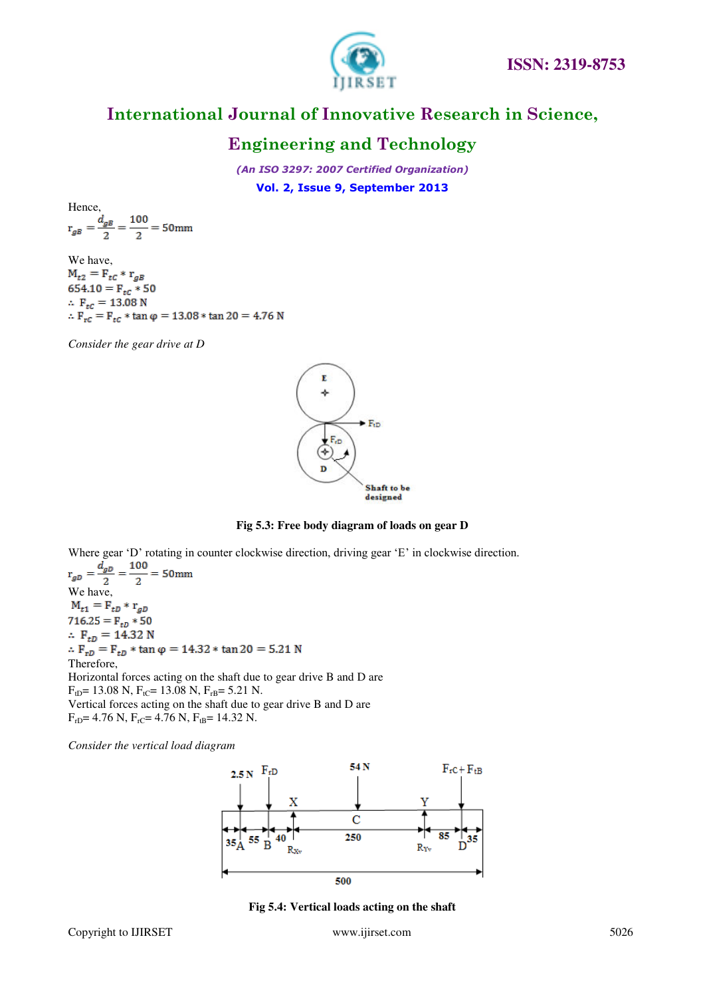

### **Engineering and Technology**

*(An ISO 3297: 2007 Certified Organization)*  **Vol. 2, Issue 9, September 2013**

Hence,<br> $r_{gB} = \frac{d_{gB}}{2} = \frac{100}{2} = 50$ mm

We have,<br> $M_{t2} = F_{tc} * r_{gB}$  $654.10 = F_{tc} * 50$  $E_{tc} = 13.08 \text{ N}$ ..  $F_{rc} = F_{tc} * \tan \varphi = 13.08 * \tan 20 = 4.76 N$ 

*Consider the gear drive at D* 





Where gear 'D' rotating in counter clockwise direction, driving gear 'E' in clockwise direction.<br> $r_{gD} = \frac{d_{gD}}{2} = \frac{100}{2} = 50$ mm We have,<br>  $M_{t1} = F_{tD} * r_{gD}$ <br>
716.25 =  $F_{tD} * 50$  $\therefore$  F<sub>tD</sub> = 14.32 N ..  $F_{rD} = F_{tD} * \tan \varphi = 14.32 * \tan 20 = 5.21$  N Therefore, Horizontal forces acting on the shaft due to gear drive B and D are  $F<sub>tD</sub>= 13.08$  N,  $F<sub>tC</sub>= 13.08$  N,  $F<sub>rB</sub>= 5.21$  N. Vertical forces acting on the shaft due to gear drive B and D are  $F_{rD}$ = 4.76 N,  $F_{rC}$ = 4.76 N,  $F_{tB}$ = 14.32 N.

*Consider the vertical load diagram* 



**Fig 5.4: Vertical loads acting on the shaft**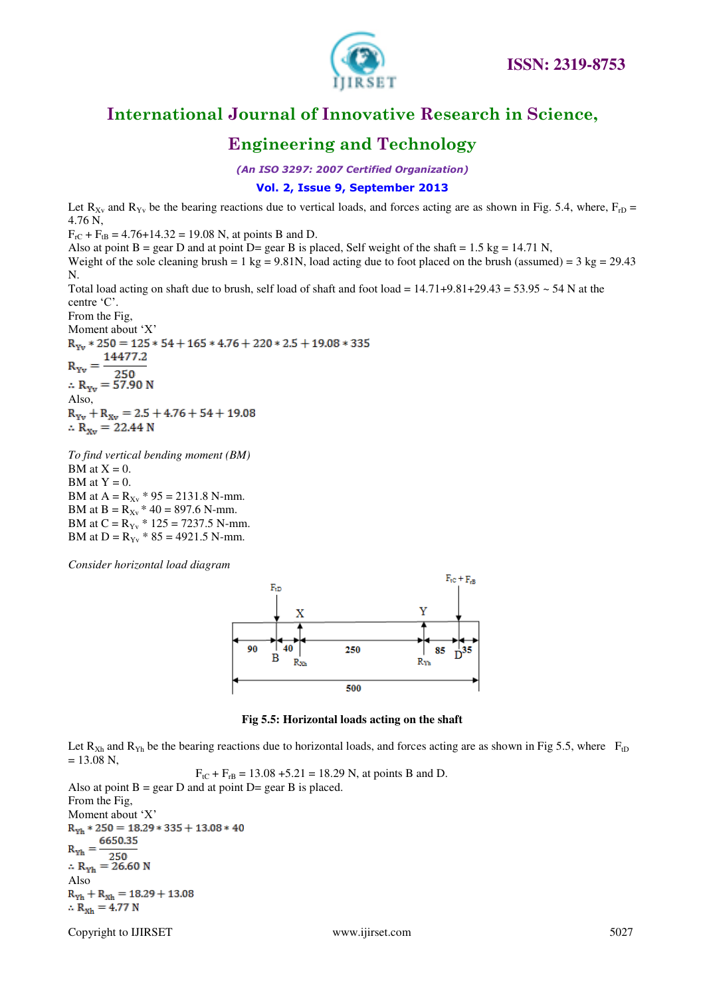

### **Engineering and Technology**

*(An ISO 3297: 2007 Certified Organization)* 

### **Vol. 2, Issue 9, September 2013**

Let  $R_{Xv}$  and  $R_{Yv}$  be the bearing reactions due to vertical loads, and forces acting are as shown in Fig. 5.4, where,  $F_{rD}$  = 4.76 N,

 $F_{rC} + F_{tB} = 4.76 + 14.32 = 19.08$  N, at points B and D.

Also at point B = gear D and at point D= gear B is placed, Self weight of the shaft =  $1.5 \text{ kg} = 14.71 \text{ N}$ ,

Weight of the sole cleaning brush = 1 kg = 9.81N, load acting due to foot placed on the brush (assumed) = 3 kg = 29.43 N.

Total load acting on shaft due to brush, self load of shaft and foot load =  $14.71+9.81+29.43 = 53.95 \approx 54$  N at the centre 'C'.

From the Fig,

Moment about 'X'<br>R<sub>yv</sub>  $*250 = 125 * 54 + 165 * 4.76 + 220 * 2.5 + 19.08 * 335$  $R_{\text{Yv}} * 250 = 125$ <br> $R_{\text{Yv}} = \frac{14477.2}{250}$  $R_{\text{Yv}} = 57.90 \text{ N}$ Also,<br>R<sub>yv</sub> + R<sub>yv</sub> = 2.5 + 4.76 + 54 + 19.08

$$
\therefore R_{Xv} = 22.44 \text{ N}
$$

*To find vertical bending moment (BM)*  BM at  $X = 0$ . BM at  $Y = 0$ . BM at  $A = R_{Xv} * 95 = 2131.8$  N-mm. BM at B =  $R_{Xv}$  \* 40 = 897.6 N-mm. BM at  $C = R_{Yv} * 125 = 7237.5$  N-mm. BM at D =  $R_{YV}$  \* 85 = 4921.5 N-mm.

*Consider horizontal load diagram* 



**Fig 5.5: Horizontal loads acting on the shaft** 

Let  $R_{Xh}$  and  $R_{Yh}$  be the bearing reactions due to horizontal loads, and forces acting are as shown in Fig 5.5, where  $F_{tD}$  $= 13.08$  N.

 $F_{\text{tC}} + F_{\text{rB}} = 13.08 + 5.21 = 18.29 \text{ N}$ , at points B and D. Also at point  $B = \text{ gear } D$  and at point  $D = \text{ gear } B$  is placed. From the Fig, Moment about 'X'<br> $R_{\text{Yh}} * 250 = 18.29 * 335 + 13.08 * 40$  $R_{\text{Yh}} = \frac{6650.35}{250}$  $\therefore R_{\text{Yh}} = 26.60 \text{ N}$ Also  $R_{Yh} + R_{Xh} = 18.29 + 13.08$  $R_{\rm Xh} = 4.77$  N

Copyright to IJIRSET www.ijirset.com 5027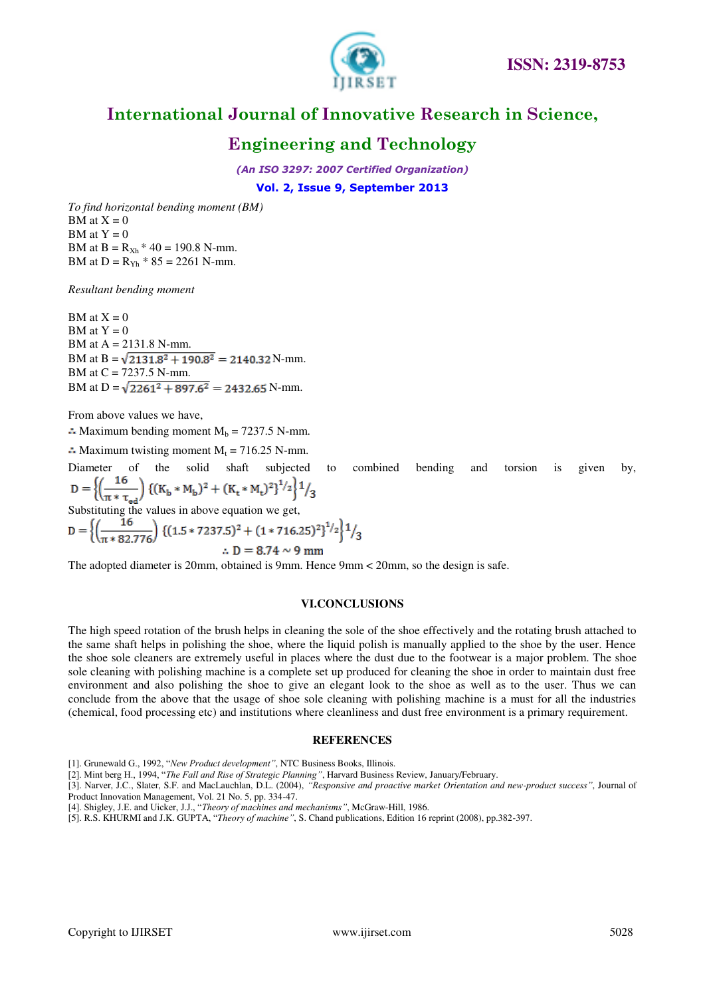



### **Engineering and Technology**

*(An ISO 3297: 2007 Certified Organization)* 

**Vol. 2, Issue 9, September 2013**

*To find horizontal bending moment (BM)*  BM at  $X = 0$ BM at  $Y = 0$ BM at  $B = R_{Xh} * 40 = 190.8$  N-mm. BM at D =  $R_{Yh}$  \* 85 = 2261 N-mm.

*Resultant bending moment* 

BM at  $X = 0$ BM at  $Y = 0$ BM at A = 2131.8 N-mm. BM at B =  $\sqrt{2131.8^2 + 190.8^2}$  = 2140.32 N-mm. BM at C = 7237.5 N-mm. BM at D =  $\sqrt{2261^2 + 897.6^2}$  = 2432.65 N-mm.

From above values we have,

 $\therefore$  Maximum bending moment M<sub>b</sub> = 7237.5 N-mm.

Maximum twisting moment  $M_t = 716.25$  N-mm.

Diameter of the solid shaft subjected to combined bending and torsion is given by,<br> $D = \left\{ \left( \frac{16}{\pi * \tau_{\text{od}}} \right) \{ (K_b * M_b)^2 + (K_t * M_t)^2 \}^{\frac{1}{2}} \right\}^{\frac{1}{2}} \right\}$ Substituting the values in above equation we get,<br>  $D = \left\{ \left( \frac{16}{\pi * 82.776} \right) \{ (1.5 * 7237.5)^2 + (1 * 716.25)^2 \}^{1/2} \right\}^{1/3}$  $\therefore$  D = 8.74  $\sim$  9 mm

The adopted diameter is 20mm, obtained is 9mm. Hence 9mm < 20mm, so the design is safe.

#### **VI.CONCLUSIONS**

The high speed rotation of the brush helps in cleaning the sole of the shoe effectively and the rotating brush attached to the same shaft helps in polishing the shoe, where the liquid polish is manually applied to the shoe by the user. Hence the shoe sole cleaners are extremely useful in places where the dust due to the footwear is a major problem. The shoe sole cleaning with polishing machine is a complete set up produced for cleaning the shoe in order to maintain dust free environment and also polishing the shoe to give an elegant look to the shoe as well as to the user. Thus we can conclude from the above that the usage of shoe sole cleaning with polishing machine is a must for all the industries (chemical, food processing etc) and institutions where cleanliness and dust free environment is a primary requirement.

#### **REFERENCES**

[5]. R.S. KHURMI and J.K. GUPTA, "*Theory of machine"*, S. Chand publications, Edition 16 reprint (2008), pp.382-397.

<sup>[1].</sup> Grunewald G., 1992, "*New Product development"*, NTC Business Books, Illinois.

<sup>[2].</sup> Mint berg H., 1994, "*The Fall and Rise of Strategic Planning"*, Harvard Business Review, January/February.

<sup>[3].</sup> Narver, J.C., Slater, S.F. and MacLauchlan, D.L. (2004), *"Responsive and proactive market Orientation and new-product success"*, Journal of

Product Innovation Management, Vol. 21 No. 5, pp. 334-47.

<sup>[4</sup>]. Shigley, J.E. and Uicker, J.J., "*Theory of machines and mechanisms"*, McGraw-Hill, 1986.